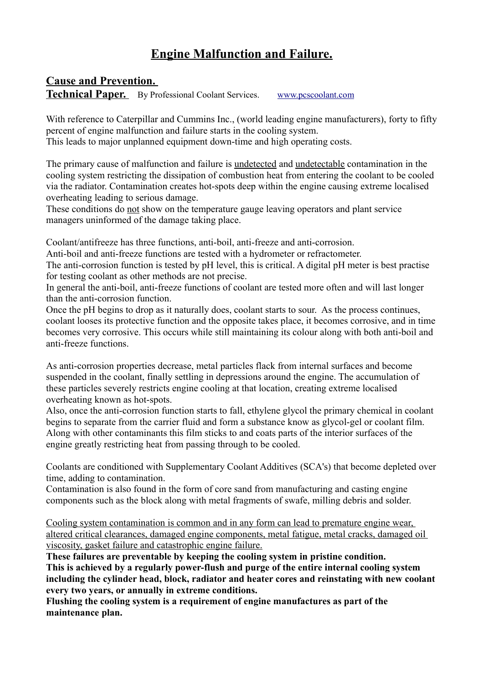# **Engine Malfunction and Failure.**

## **Cause and Prevention.**

**Technical Paper.** By Professional Coolant Services. www.pcscoolant.com

With reference to Caterpillar and Cummins Inc., (world leading engine manufacturers), forty to fifty percent of engine malfunction and failure starts in the cooling system.

This leads to major unplanned equipment down-time and high operating costs.

The primary cause of malfunction and failure is undetected and undetectable contamination in the cooling system restricting the dissipation of combustion heat from entering the coolant to be cooled via the radiator. Contamination creates hot-spots deep within the engine causing extreme localised overheating leading to serious damage.

These conditions do not show on the temperature gauge leaving operators and plant service managers uninformed of the damage taking place.

Coolant/antifreeze has three functions, anti-boil, anti-freeze and anti-corrosion.

Anti-boil and anti-freeze functions are tested with a hydrometer or refractometer.

The anti-corrosion function is tested by pH level, this is critical. A digital pH meter is best practise for testing coolant as other methods are not precise.

In general the anti-boil, anti-freeze functions of coolant are tested more often and will last longer than the anti-corrosion function.

Once the pH begins to drop as it naturally does, coolant starts to sour. As the process continues, coolant looses its protective function and the opposite takes place, it becomes corrosive, and in time becomes very corrosive. This occurs while still maintaining its colour along with both anti-boil and anti-freeze functions.

As anti-corrosion properties decrease, metal particles flack from internal surfaces and become suspended in the coolant, finally settling in depressions around the engine. The accumulation of these particles severely restricts engine cooling at that location, creating extreme localised overheating known as hot-spots.

Also, once the anti-corrosion function starts to fall, ethylene glycol the primary chemical in coolant begins to separate from the carrier fluid and form a substance know as glycol-gel or coolant film. Along with other contaminants this film sticks to and coats parts of the interior surfaces of the engine greatly restricting heat from passing through to be cooled.

Coolants are conditioned with Supplementary Coolant Additives (SCA's) that become depleted over time, adding to contamination.

Contamination is also found in the form of core sand from manufacturing and casting engine components such as the block along with metal fragments of swafe, milling debris and solder.

Cooling system contamination is common and in any form can lead to premature engine wear, altered critical clearances, damaged engine components, metal fatigue, metal cracks, damaged oil viscosity, gasket failure and catastrophic engine failure.

**These failures are preventable by keeping the cooling system in pristine condition. This is achieved by a regularly power-flush and purge of the entire internal cooling system including the cylinder head, block, radiator and heater cores and reinstating with new coolant every two years, or annually in extreme conditions.** 

**Flushing the cooling system is a requirement of engine manufactures as part of the maintenance plan.**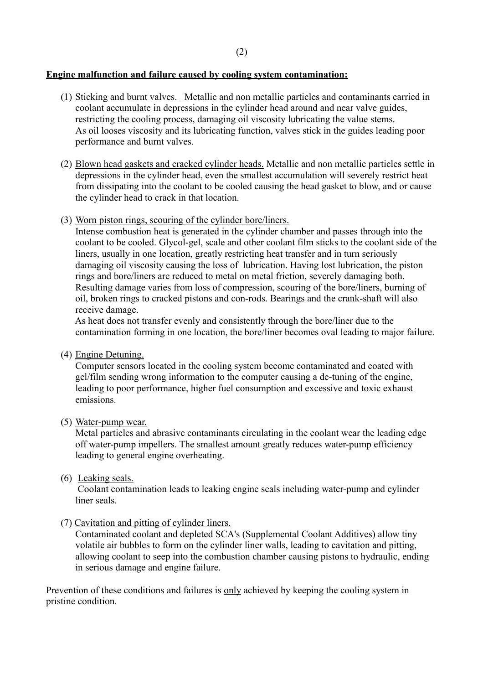#### **Engine malfunction and failure caused by cooling system contamination:**

- (1) Sticking and burnt valves. Metallic and non metallic particles and contaminants carried in coolant accumulate in depressions in the cylinder head around and near valve guides, restricting the cooling process, damaging oil viscosity lubricating the value stems. As oil looses viscosity and its lubricating function, valves stick in the guides leading poor performance and burnt valves.
- (2) Blown head gaskets and cracked cylinder heads. Metallic and non metallic particles settle in depressions in the cylinder head, even the smallest accumulation will severely restrict heat from dissipating into the coolant to be cooled causing the head gasket to blow, and or cause the cylinder head to crack in that location.
- (3) Worn piston rings, scouring of the cylinder bore/liners.

Intense combustion heat is generated in the cylinder chamber and passes through into the coolant to be cooled. Glycol-gel, scale and other coolant film sticks to the coolant side of the liners, usually in one location, greatly restricting heat transfer and in turn seriously damaging oil viscosity causing the loss of lubrication. Having lost lubrication, the piston rings and bore/liners are reduced to metal on metal friction, severely damaging both. Resulting damage varies from loss of compression, scouring of the bore/liners, burning of oil, broken rings to cracked pistons and con-rods. Bearings and the crank-shaft will also receive damage.

 As heat does not transfer evenly and consistently through the bore/liner due to the contamination forming in one location, the bore/liner becomes oval leading to major failure.

(4) Engine Detuning.

Computer sensors located in the cooling system become contaminated and coated with gel/film sending wrong information to the computer causing a de-tuning of the engine, leading to poor performance, higher fuel consumption and excessive and toxic exhaust emissions.

(5) Water-pump wear.

Metal particles and abrasive contaminants circulating in the coolant wear the leading edge off water-pump impellers. The smallest amount greatly reduces water-pump efficiency leading to general engine overheating.

(6) Leaking seals.

Coolant contamination leads to leaking engine seals including water-pump and cylinder liner seals.

(7) Cavitation and pitting of cylinder liners.

 Contaminated coolant and depleted SCA's (Supplemental Coolant Additives) allow tiny volatile air bubbles to form on the cylinder liner walls, leading to cavitation and pitting, allowing coolant to seep into the combustion chamber causing pistons to hydraulic, ending in serious damage and engine failure.

Prevention of these conditions and failures is <u>only</u> achieved by keeping the cooling system in pristine condition.